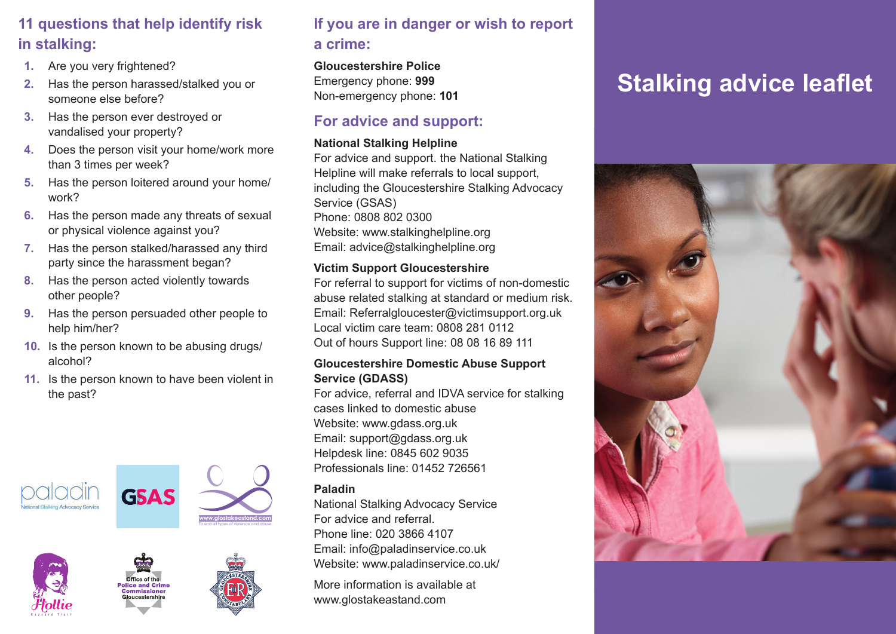## **11 questions that help identify risk in stalking:**

- **1.** Are you very frightened?
- **2.** Has the person harassed/stalked you or someone else before?
- **3.** Has the person ever destroyed or vandalised your property?
- **4.** Does the person visit your home/work more than 3 times per week?
- **5.** Has the person loitered around your home/ work?
- **6.** Has the person made any threats of sexual or physical violence against you?
- **7.** Has the person stalked/harassed any third party since the harassment began?
- **8.** Has the person acted violently towards other people?
- **9.** Has the person persuaded other people to help him/her?
- **10.** Is the person known to be abusing drugs/ alcohol?
- **11.** Is the person known to have been violent in the past?











## **If you are in danger or wish to report a crime:**

**Gloucestershire Police** Emergency phone: **999** Non-emergency phone: **101**

## **For advice and support:**

#### **National Stalking Helpline**

For advice and support. the National Stalking Helpline will make referrals to local support, including the Gloucestershire Stalking Advocacy Service (GSAS) Phone: 0808 802 0300 Website: www.stalkinghelpline.org Email: advice@stalkinghelpline.org

#### **Victim Support Gloucestershire**

For referral to support for victims of non-domestic abuse related stalking at standard or medium risk. Email: Referralgloucester@victimsupport.org.uk Local victim care team: 0808 281 0112 Out of hours Support line: 08 08 16 89 111

#### **Gloucestershire Domestic Abuse Support Service (GDASS)**

For advice, referral and IDVA service for stalking cases linked to domestic abuse Website: www.gdass.org.uk Email: support@gdass.org.uk Helpdesk line: 0845 602 9035 Professionals line: 01452 726561

#### **Paladin**

National Stalking Advocacy Service For advice and referral. Phone line: 020 3866 4107 Email: info@paladinservice.co.uk Website: www.paladinservice.co.uk/

More information is available at www.glostakeastand.com

# **Stalking advice leaflet**